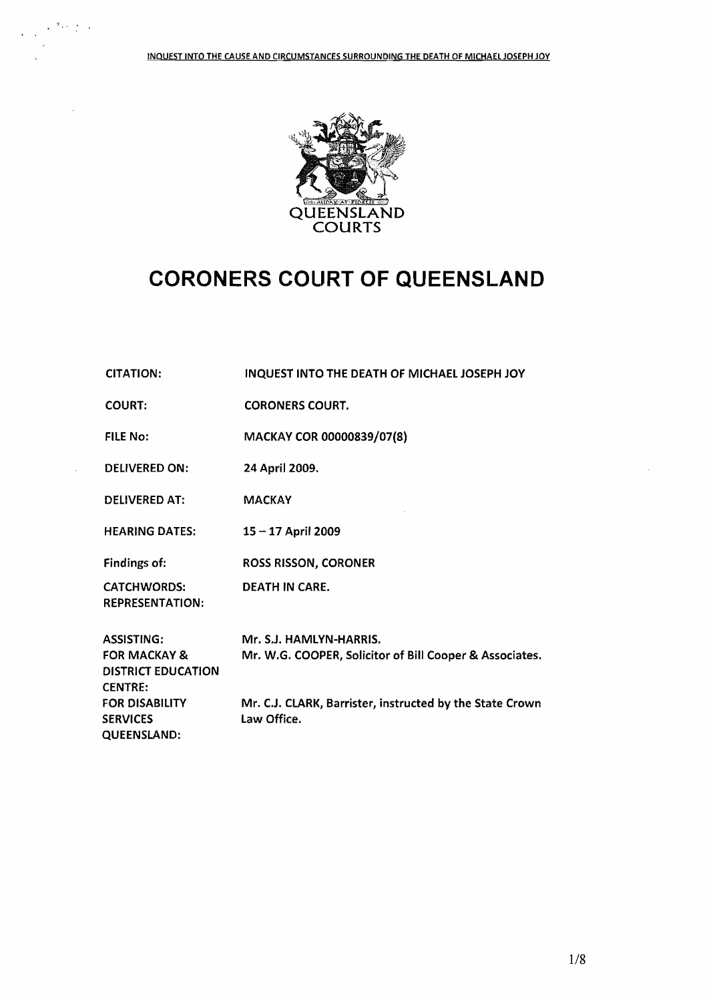ព្រឹក ស្រុ

 $\cdot$ 



## **CORONERS COURT OF QUEENSLAND**

| <b>CITATION:</b>                                                                     | INQUEST INTO THE DEATH OF MICHAEL JOSEPH JOY                                       |
|--------------------------------------------------------------------------------------|------------------------------------------------------------------------------------|
| <b>COURT:</b>                                                                        | <b>CORONERS COURT.</b>                                                             |
| <b>FILE No:</b>                                                                      | MACKAY COR 00000839/07(8)                                                          |
| <b>DELIVERED ON:</b>                                                                 | 24 April 2009.                                                                     |
| <b>DELIVERED AT:</b>                                                                 | <b>MACKAY</b>                                                                      |
| <b>HEARING DATES:</b>                                                                | 15 - 17 April 2009                                                                 |
| Findings of:                                                                         | <b>ROSS RISSON, CORONER</b>                                                        |
| <b>CATCHWORDS:</b><br><b>REPRESENTATION:</b>                                         | <b>DEATH IN CARE.</b>                                                              |
| ASSISTING:<br><b>FOR MACKAY &amp;</b><br><b>DISTRICT EDUCATION</b><br><b>CENTRE:</b> | Mr. S.J. HAMLYN-HARRIS.<br>Mr. W.G. COOPER, Solicitor of Bill Cooper & Associates. |
| FOR DISABILITY<br>SERVICES<br>QUEENSLAND:                                            | Mr. C.J. CLARK, Barrister, instructed by the State Crown<br>Law Office.            |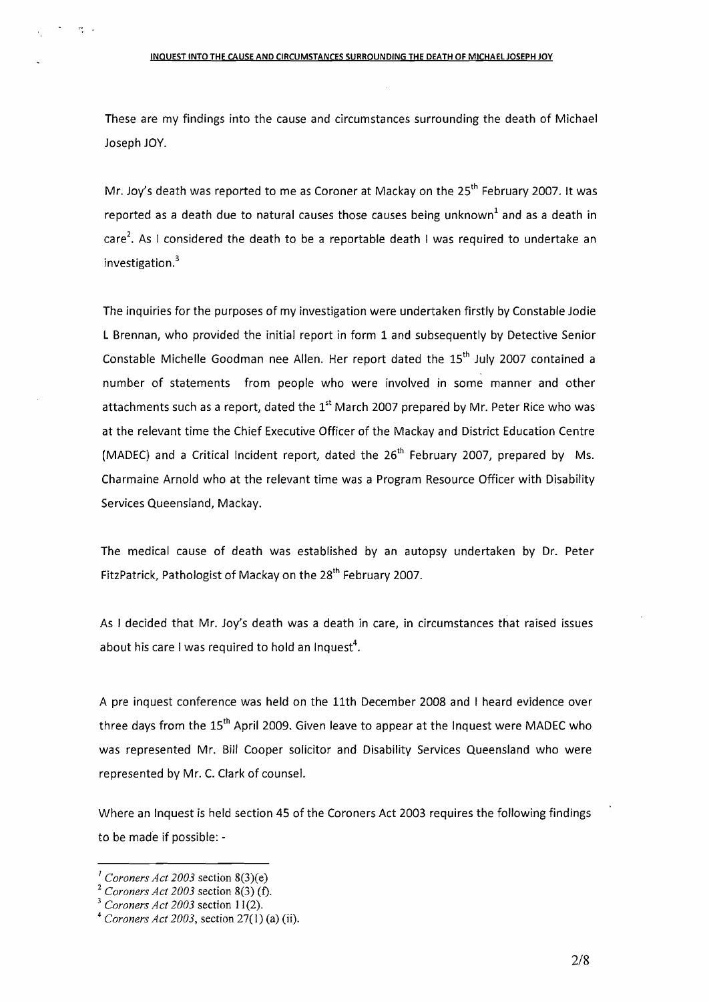These are my findings into the cause and circumstances surrounding the death of Michael Joseph JOY.

Mr. Joy's death was reported to me as Coroner at Mackay on the 25<sup>th</sup> February 2007. It was reported as a death due to natural causes those causes being unknown<sup>1</sup> and as a death in care<sup>2</sup>. As I considered the death to be a reportable death I was required to undertake an investigation.<sup>3</sup>

The inquiries for the purposes of my investigation were undertaken firstly by Constable Jodie L Brennan, who provided the initial report in form 1 and subsequently by Detective Senior Constable Michelle Goodman nee Allen. Her report dated the  $15<sup>th</sup>$  July 2007 contained a number of statements from people who were involved in some manner and other attachments such as a report, dated the  $1<sup>st</sup>$  March 2007 prepared by Mr. Peter Rice who was at the relevant time the Chief Executive Officer of the Mackay and District Education Centre (MADEC) and a Critical Incident report, dated the 26<sup>th</sup> February 2007, prepared by Ms. Charmaine Arnold who at the relevant time was a Program Resource Officer with Disability Services Queensland, Mackay.

The medical cause of death was established by an autopsy undertaken by Dr. Peter FitzPatrick, Pathologist of Mackay on the 28<sup>th</sup> February 2007.

As I decided that Mr. Joy's death was a death in care, in circumstances that raised issues about his care I was required to hold an Inquest<sup>4</sup>.

A pre inquest conference was held on the 11th December 2008 and I heard evidence over three days from the  $15<sup>th</sup>$  April 2009. Given leave to appear at the Inquest were MADEC who was represented Mr. Bill Cooper solicitor and Disability Services Queensland who were represented by Mr. C. Clark of counsel.

Where an Inquest is held section 45 of the Coroners Act 2003 requires the following findings to be made if possible: -

 $\mathbf{r}^{\mathbf{q}}$ 

 $I$  *Coroners Act 2003* section 8(3)(e)

<sup>2</sup> *Coroners Act 2003* section 8(3) (f).

*<sup>3</sup> Coroners Act 2003* section 11(2).

<sup>4</sup> *Coroners Act 2003,* section 27(1) (a) (ii).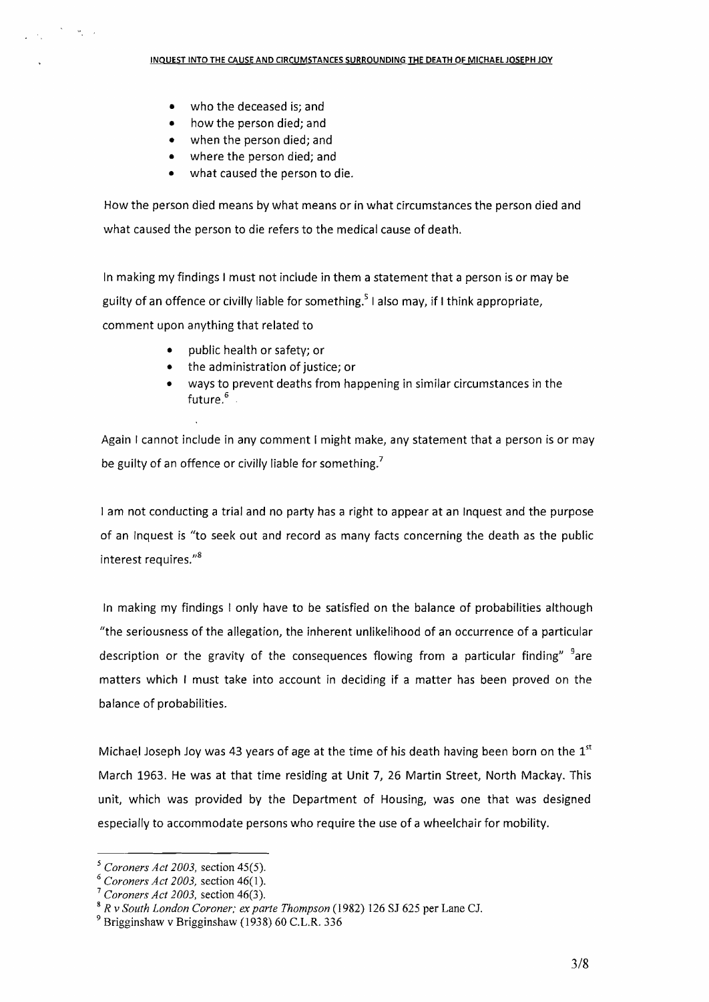• who the deceased is; and

 $\mathcal{O}(\mathcal{O}_\mathbf{a})$ 

- how the person died; and
- when the person died; and
- where the person died; and
- what caused the person to die.

How the person died means by what means or in what circumstances the person died and what caused the person to die refers to the medical cause of death.

In making my findings I must not include in them a statement that a person is or may be guilty of an offence or civilly liable for something.<sup>5</sup> I also may, if I think appropriate, comment upon anything that related to

- public health or safety; or
- the administration of justice; or
- ways to prevent deaths from happening in similar circumstances in the future.<sup>6</sup>

Again I cannot include in any comment I might make, any statement that a person is or may be guilty of an offence or civilly liable for something.<sup>7</sup>

I am not conducting a trial and no party has a right to appear at an Inquest and the purpose of an Inquest is "to seek out and record as many facts concerning the death as the public interest requires."

In making my findings I only have to be satisfied on the balance of probabilities although "the seriousness of the allegation, the inherent unlikelihood of an occurrence of a particular description or the gravity of the consequences flowing from a particular finding"  $a^3$ are matters which I must take into account in deciding if a matter has been proved on the balance of probabilities.

Michael Joseph Joy was 43 years of age at the time of his death having been born on the  $1<sup>st</sup>$ March 1963. He was at that time residing at Unit 7, 26 Martin Street, North Mackay. This unit, which was provided by the Department of Housing, was one that was designed especially to accommodate persons who require the use of a wheelchair for mobility.

*<sup>5</sup> Coroners Act 2003,* section 45(5).

*<sup>6</sup> Coroners Act 2003,* section 46(1).

*<sup>7</sup> Coroners Act 2003,* section 46(3).

<sup>8</sup> *R* v *South London Coroner; ex parte Thompson* (1982) 126 SJ 625 per Lane Cl

<sup>9</sup> Brigginshaw v Brigginshaw (1938) 60 C.L.R. 336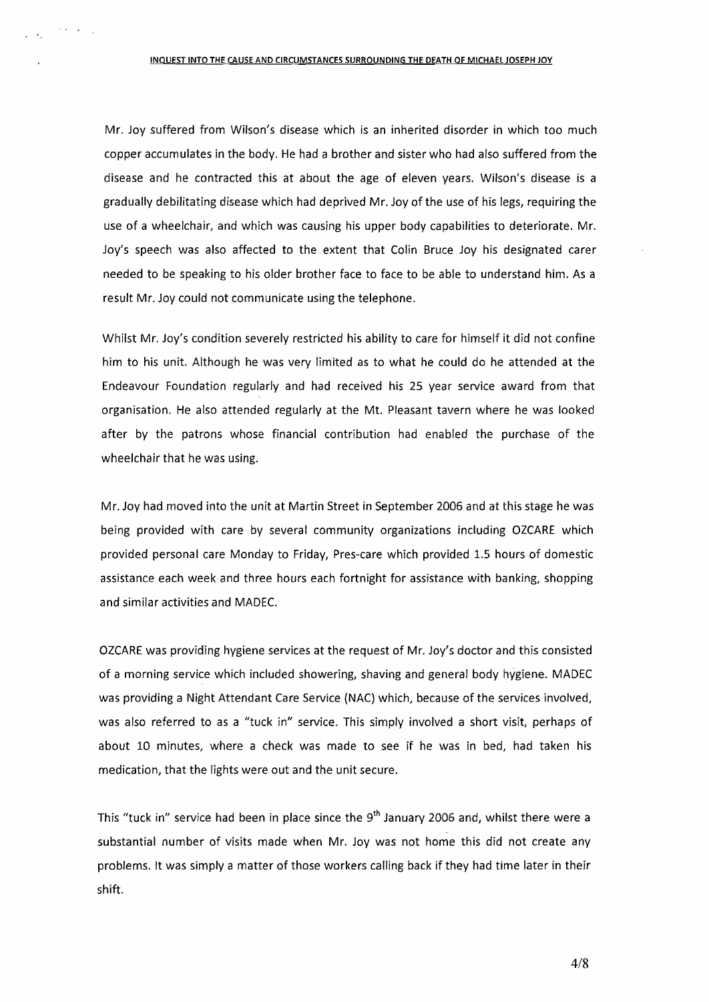Mr. Joy suffered from Wilson's disease which is an inherited disorder in which too much copper accumulates in the body. He had a brother and sister who had also suffered from the disease and he contracted this at about the age of eleven years. Wilson's disease is a gradually debilitating disease which had deprived Mr. Joy of the use of his legs, requiring the use of a wheelchair, and which was causing his upper body capabilities to deteriorate. Mr. Joy's speech was also affected to the extent that Colin Bruce Joy his designated carer needed to be speaking to his older brother face to face to be able to understand him. As a result Mr. Joy could not communicate using the telephone.

Whilst Mr. Joy's condition severely restricted his ability to care for himself it did not confine him to his unit. Although he was very limited as to what he could do he attended at the Endeavour Foundation regularly and had received his 25 year service award from that organisation. He also attended regularly at the Mt. Pleasant tavern where he was looked after by the patrons whose financial contribution had enabled the purchase of the wheelchair that he was using.

Mr. Joy had moved into the unit at Martin Street in September 2006 and at this stage he was being provided with care by several community organizations including OZCARE which provided personal care Monday to Friday, Pres-care which provided 1.5 hours of domestic assistance each week and three hours each fortnight for assistance with banking, shopping and similar activities and MADEC.

OZCARE was providing hygiene services at the request of Mr. *loy's* doctor and this consisted of a morning service which included showering, shaving and general body hygiene. MADEC was providing a Night Attendant Care Service (NAC) which, because of the services involved, was also referred to as a "tuck in" service. This simply involved a short visit, perhaps of about 10 minutes, where a check was made to see if he was in bed, had taken his medication, that the lights were out and the unit secure.

This "tuck in" service had been in place since the  $9<sup>th</sup>$  January 2006 and, whilst there were a substantial number of visits made when Mr. Joy was not home this did not create any problems. It was simply a matter of those workers calling back if they had time later in their shift.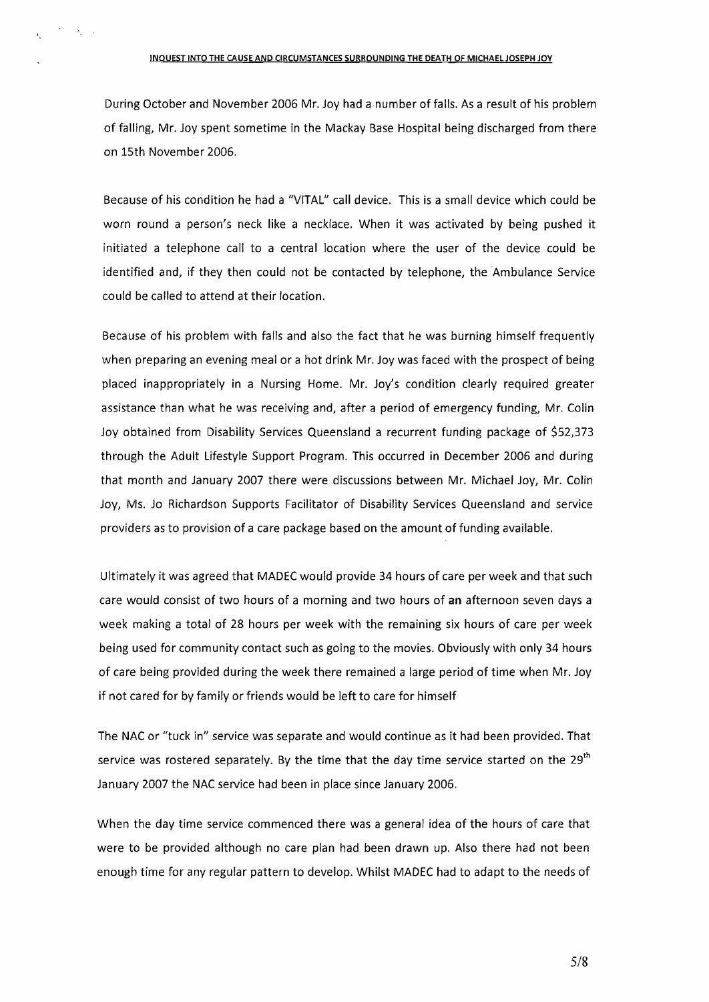## INQUEST INTO THE CAUSE AND CIRCUMSTANCES SURROUNDING THE DEATH OF MICHAEL JOSEPH JOY

 $\sum_{i=1}^n \alpha_i \sum_{j=1}^n \alpha_j$ 

During October and November 2006 Mr. Joy had a number of falls. As a result of his problem of falling, Mr. Joy spent sometime in the Mackay Base Hospital being discharged from there on 15th November 2006.

Because of his condition he had a "VITAL" call device. This is a small device which could be worn round a person's neck like a necklace. When it was activated by being pushed it initiated a telephone call to a central location where the user of the device could be identified and, if they then could not be contacted by telephone, the Ambulance Service could be called to attend at their location.

Because of his problem with falls and also the fact that he was burning himself frequently when preparing an evening meal or a hot drink Mr. Joy was faced with the prospect of being placed inappropriately in a Nursing Home. Mr. Joy's condition clearly required greater assistance than what he was receiving and, after a period of emergency funding, Mr. Colin Joy obtained from Disability Services Queensland a recurrent funding package of \$52,373 through the Adult Lifestyle Support Program. This occurred in December 2006 and during that month and January 2007 there were discussions between Mr. Michael Joy, Mr. Colin Joy, Ms. Jo Richardson Supports Facilitator of Disability Services Queensland and service providers as to provision of a care package based on the amount of funding available.

Ultimately it was agreed that MADEC would provide 34 hours of care per week and that such care would consist of two hours of a morning and two hours of an afternoon seven days a week making a total of 28 hours per week with the remaining six hours of care per week being used for community contact such as going to the movies. Obviously with only 34 hours of care being provided during the week there remained a large period of time when Mr. Joy if not cared for by family or friends would be left to care for himself

The NACor "tuck in" service was separate and would continue as it had been provided. That service was rostered separately. By the time that the day time service started on the  $29<sup>th</sup>$ January 2007 the NAC service had been in place since January 2006.

When the day time service commenced there was a general idea of the hours of care that were to be provided although no care plan had been drawn up. Also there had not been enough time for any regular pattern to develop. Whilst MADEC had to adapt to the needs of

5/8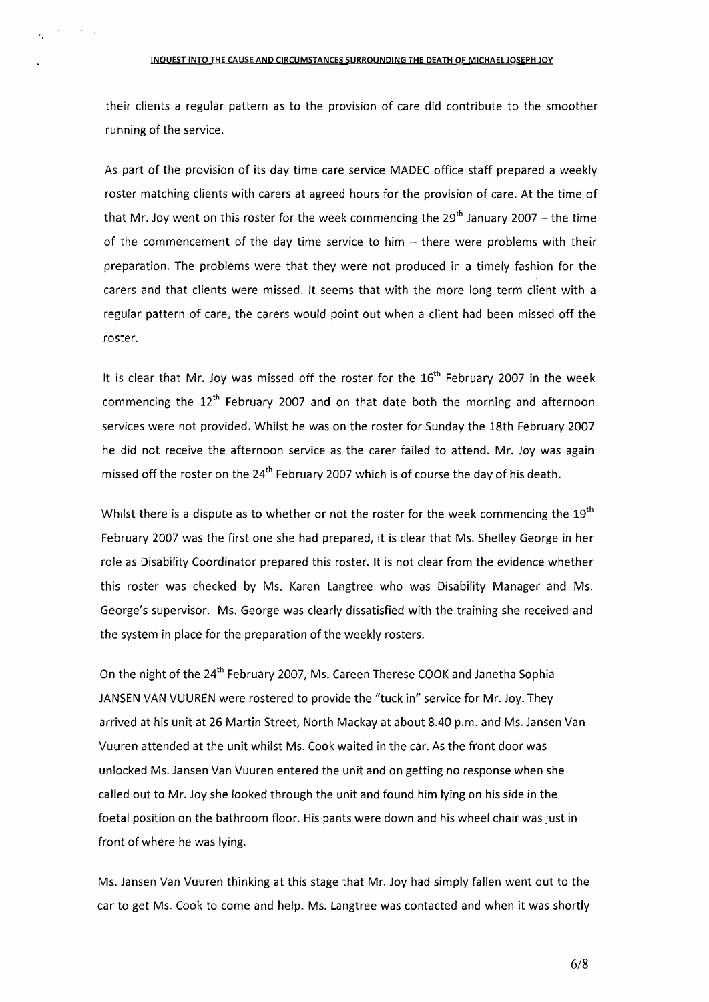their clients a regular pattern as to the provision of care did contribute to the smoother running of the service.

As part of the provision of its day time care service MADEC office staff prepared a weekly roster matching clients with carers at agreed hours for the provision of care. At the time of that Mr. Joy went on this roster for the week commencing the  $29<sup>th</sup>$  January 2007 – the time of the commencement of the day time service to him  $-$  there were problems with their preparation. The problems were that they were not produced in a timely fashion for the carers and that clients were missed. It seems that with the more long term client with a regular pattern of care, the carers would point out when a client had been missed off the roster.

It is clear that Mr. Joy was missed off the roster for the  $16<sup>th</sup>$  February 2007 in the week commencing the  $12<sup>th</sup>$  February 2007 and on that date both the morning and afternoon services were not provided. Whilst he was on the roster for Sunday the 18th February 2007 he did not receive the afternoon service as the carer failed to attend. Mr. Joy was again missed off the roster on the  $24<sup>th</sup>$  February 2007 which is of course the day of his death.

Whilst there is a dispute as to whether or not the roster for the week commencing the  $19<sup>th</sup>$ February 2007 was the first one she had prepared, it is clear that Ms. Shelley George in her role as Disability Coordinator prepared this roster. It is not clear from the evidence whether this roster was checked by Ms. Karen Langtree who was Disability Manager and Ms. George's supervisor. Ms. George was clearly dissatisfied with the training she received and the system in place for the preparation of the weekly rosters.

On the night of the 24<sup>th</sup> February 2007, Ms. Careen Therese COOK and Janetha Sophia JANSEN VAN VUUREN were rostered to provide the "tuck in" service for Mr. Joy. They arrived at his unit at 26 Martin Street, North Mackay at about 8.40 p.m. and Ms. Jansen Van Vuuren attended at the unit whilst Ms. Cook waited in the car. As the front door was unlocked Ms. Jansen Van Vuuren entered the unit and on getting no response when she called out to Mr. Joy she looked through the unit and found him lying on his side in the foetal position on the bathroom floor. His pants were down and his wheel chair was just in front of where he was lying.

Ms. Jansen Van Vuuren thinking at this stage that Mr. Joy had simply fallen went out to the car to get Ms. Cook to come and help. Ms. Langtree was contacted and when it was shortly

6/8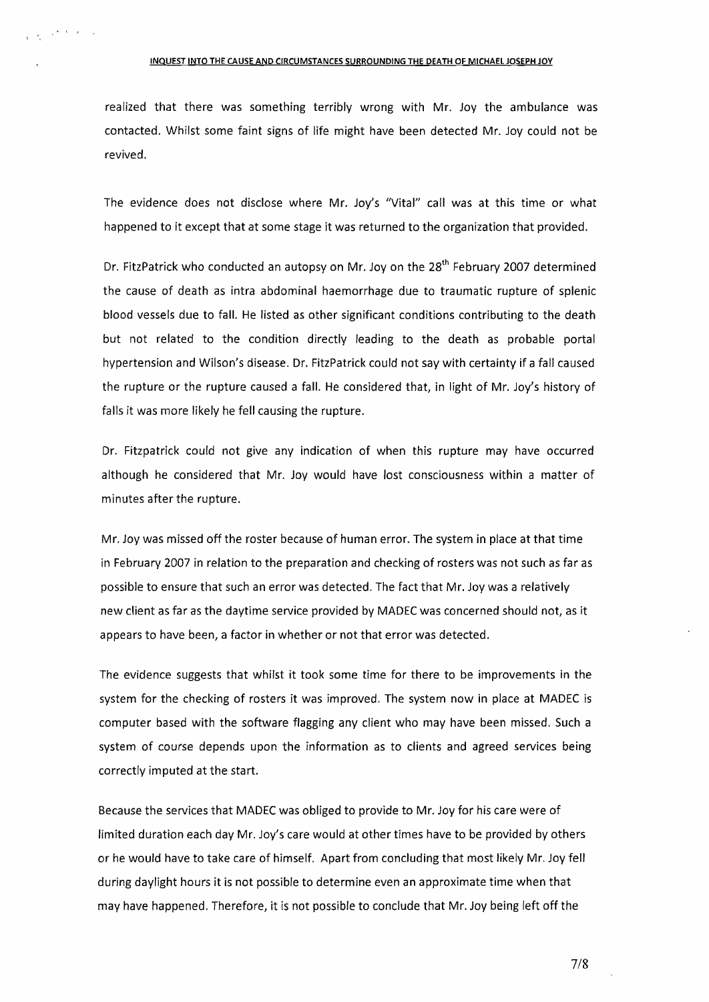## INQUEST INTO THE CAUSE AND CIRCUMSTANCES SURROUNDING THE DEATH OF MICHAel JOSEPH JOY

 $\frac{1}{\sqrt{2}}\left(\frac{1}{2}\sum_{i=1}^{n}A_{i}^{(i)}\right)\left(\frac{1}{2}\sum_{i=1}^{n}A_{i}^{(i)}\right)$ 

realized that there was something terribly wrong with Mr. Joy the ambulance was contacted. Whilst some faint signs of life might have been detected Mr. Joy could not be revived.

The evidence does not disclose where Mr. Joy's "Vital" call was at this time or what happened to it except that at some stage it was returned to the organization that provided.

Dr. FitzPatrick who conducted an autopsy on Mr. Joy on the 28<sup>th</sup> February 2007 determined the cause of death as intra abdominal haemorrhage due to traumatic rupture of splenic blood vessels due to fall. He listed as other significant conditions contributing to the death but not related to the condition directly leading to the death as probable portal hypertension and Wilson's disease. Dr. FitzPatrick could not say with certainty if a fall caused the rupture or the rupture caused a fall. He considered that, in light of Mr. Joy's history of falls it was more likely he fell causing the rupture.

Dr. Fitzpatrick could not give any indication of when this rupture may have occurred although he considered that Mr. Joy would have lost consciousness within a matter of minutes after the rupture.

Mr. Joy was missed off the roster because of human error. The system in place at that time in February 2007 in relation to the preparation and checking of rosters was not such as far as possible to ensure that such an error was detected. The fact that Mr. Joy was a relatively new client as far as the daytime service provided by MADEC was concerned should not, as it appears to have been, a factor in whether or not that error was detected.

The evidence suggests that whilst it took some time for there to be improvements in the system for the checking of rosters it was improved. The system now in place at MADEC is computer based with the software flagging any client who may have been missed. Such a system of course depends upon the information as to clients and agreed services being correctly imputed at the start.

Because the services that MADEC was obliged to provide to Mr. Joy for his care were of limited duration each day Mr. Joy's care would at other times have to be provided by others or he would have to take care of himself. Apart from concluding that most likely Mr. Joy fell during daylight hours it is not possible to determine even an approximate time when that may have happened. Therefore, it is not possible to conclude that Mr. Joy being left off the

7/8